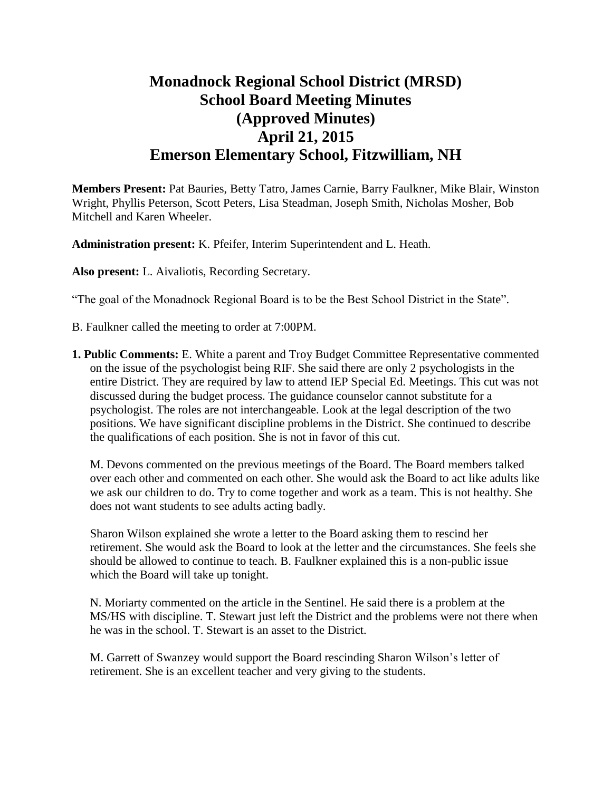# **Monadnock Regional School District (MRSD) School Board Meeting Minutes (Approved Minutes) April 21, 2015 Emerson Elementary School, Fitzwilliam, NH**

**Members Present:** Pat Bauries, Betty Tatro, James Carnie, Barry Faulkner, Mike Blair, Winston Wright, Phyllis Peterson, Scott Peters, Lisa Steadman, Joseph Smith, Nicholas Mosher, Bob Mitchell and Karen Wheeler.

**Administration present:** K. Pfeifer, Interim Superintendent and L. Heath.

**Also present:** L. Aivaliotis, Recording Secretary.

"The goal of the Monadnock Regional Board is to be the Best School District in the State".

- B. Faulkner called the meeting to order at 7:00PM.
- **1. Public Comments:** E. White a parent and Troy Budget Committee Representative commented on the issue of the psychologist being RIF. She said there are only 2 psychologists in the entire District. They are required by law to attend IEP Special Ed. Meetings. This cut was not discussed during the budget process. The guidance counselor cannot substitute for a psychologist. The roles are not interchangeable. Look at the legal description of the two positions. We have significant discipline problems in the District. She continued to describe the qualifications of each position. She is not in favor of this cut.

M. Devons commented on the previous meetings of the Board. The Board members talked over each other and commented on each other. She would ask the Board to act like adults like we ask our children to do. Try to come together and work as a team. This is not healthy. She does not want students to see adults acting badly.

Sharon Wilson explained she wrote a letter to the Board asking them to rescind her retirement. She would ask the Board to look at the letter and the circumstances. She feels she should be allowed to continue to teach. B. Faulkner explained this is a non-public issue which the Board will take up tonight.

N. Moriarty commented on the article in the Sentinel. He said there is a problem at the MS/HS with discipline. T. Stewart just left the District and the problems were not there when he was in the school. T. Stewart is an asset to the District.

M. Garrett of Swanzey would support the Board rescinding Sharon Wilson's letter of retirement. She is an excellent teacher and very giving to the students.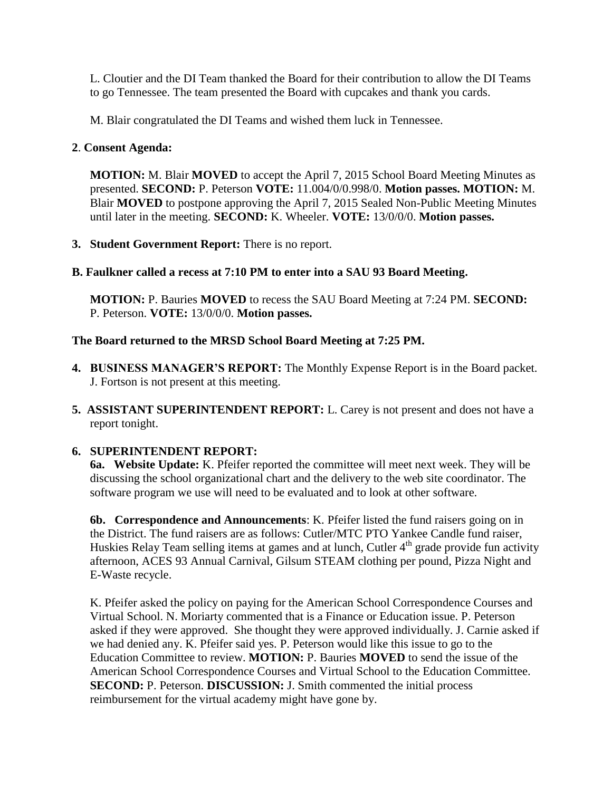L. Cloutier and the DI Team thanked the Board for their contribution to allow the DI Teams to go Tennessee. The team presented the Board with cupcakes and thank you cards.

M. Blair congratulated the DI Teams and wished them luck in Tennessee.

## **2**. **Consent Agenda:**

**MOTION:** M. Blair **MOVED** to accept the April 7, 2015 School Board Meeting Minutes as presented. **SECOND:** P. Peterson **VOTE:** 11.004/0/0.998/0. **Motion passes. MOTION:** M. Blair **MOVED** to postpone approving the April 7, 2015 Sealed Non-Public Meeting Minutes until later in the meeting. **SECOND:** K. Wheeler. **VOTE:** 13/0/0/0. **Motion passes.** 

**3. Student Government Report:** There is no report.

## **B. Faulkner called a recess at 7:10 PM to enter into a SAU 93 Board Meeting.**

**MOTION:** P. Bauries **MOVED** to recess the SAU Board Meeting at 7:24 PM. **SECOND:**  P. Peterson. **VOTE:** 13/0/0/0. **Motion passes.** 

## **The Board returned to the MRSD School Board Meeting at 7:25 PM.**

- **4. BUSINESS MANAGER'S REPORT:** The Monthly Expense Report is in the Board packet. J. Fortson is not present at this meeting.
- **5. ASSISTANT SUPERINTENDENT REPORT:** L. Carey is not present and does not have a report tonight.

# **6. SUPERINTENDENT REPORT:**

**6a. Website Update:** K. Pfeifer reported the committee will meet next week. They will be discussing the school organizational chart and the delivery to the web site coordinator. The software program we use will need to be evaluated and to look at other software.

**6b. Correspondence and Announcements**: K. Pfeifer listed the fund raisers going on in the District. The fund raisers are as follows: Cutler/MTC PTO Yankee Candle fund raiser, Huskies Relay Team selling items at games and at lunch, Cutler  $4<sup>th</sup>$  grade provide fun activity afternoon, ACES 93 Annual Carnival, Gilsum STEAM clothing per pound, Pizza Night and E-Waste recycle.

K. Pfeifer asked the policy on paying for the American School Correspondence Courses and Virtual School. N. Moriarty commented that is a Finance or Education issue. P. Peterson asked if they were approved. She thought they were approved individually. J. Carnie asked if we had denied any. K. Pfeifer said yes. P. Peterson would like this issue to go to the Education Committee to review. **MOTION:** P. Bauries **MOVED** to send the issue of the American School Correspondence Courses and Virtual School to the Education Committee. **SECOND:** P. Peterson. **DISCUSSION:** J. Smith commented the initial process reimbursement for the virtual academy might have gone by.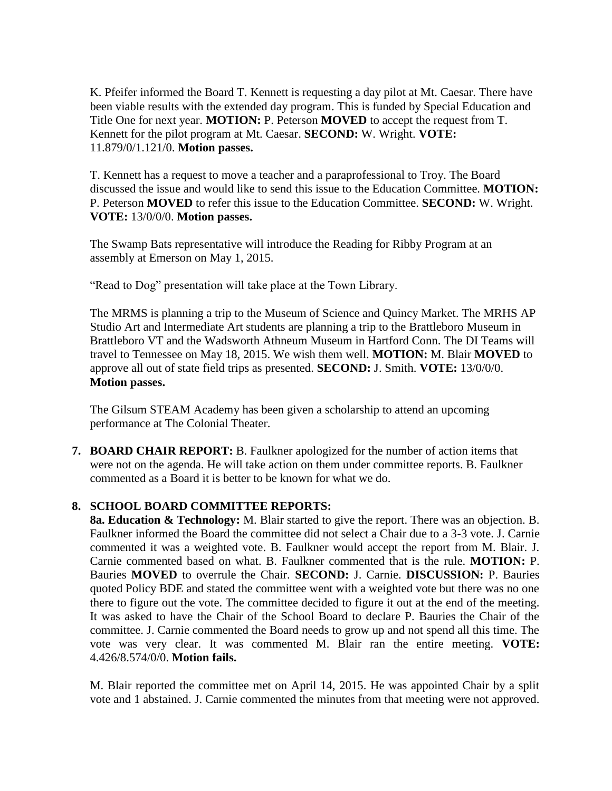K. Pfeifer informed the Board T. Kennett is requesting a day pilot at Mt. Caesar. There have been viable results with the extended day program. This is funded by Special Education and Title One for next year. **MOTION:** P. Peterson **MOVED** to accept the request from T. Kennett for the pilot program at Mt. Caesar. **SECOND:** W. Wright. **VOTE:**  11.879/0/1.121/0. **Motion passes.** 

T. Kennett has a request to move a teacher and a paraprofessional to Troy. The Board discussed the issue and would like to send this issue to the Education Committee. **MOTION:**  P. Peterson **MOVED** to refer this issue to the Education Committee. **SECOND:** W. Wright. **VOTE:** 13/0/0/0. **Motion passes.** 

The Swamp Bats representative will introduce the Reading for Ribby Program at an assembly at Emerson on May 1, 2015.

"Read to Dog" presentation will take place at the Town Library.

The MRMS is planning a trip to the Museum of Science and Quincy Market. The MRHS AP Studio Art and Intermediate Art students are planning a trip to the Brattleboro Museum in Brattleboro VT and the Wadsworth Athneum Museum in Hartford Conn. The DI Teams will travel to Tennessee on May 18, 2015. We wish them well. **MOTION:** M. Blair **MOVED** to approve all out of state field trips as presented. **SECOND:** J. Smith. **VOTE:** 13/0/0/0. **Motion passes.** 

The Gilsum STEAM Academy has been given a scholarship to attend an upcoming performance at The Colonial Theater.

**7. BOARD CHAIR REPORT:** B. Faulkner apologized for the number of action items that were not on the agenda. He will take action on them under committee reports. B. Faulkner commented as a Board it is better to be known for what we do.

# **8. SCHOOL BOARD COMMITTEE REPORTS:**

**8a. Education & Technology:** M. Blair started to give the report. There was an objection. B. Faulkner informed the Board the committee did not select a Chair due to a 3-3 vote. J. Carnie commented it was a weighted vote. B. Faulkner would accept the report from M. Blair. J. Carnie commented based on what. B. Faulkner commented that is the rule. **MOTION:** P. Bauries **MOVED** to overrule the Chair. **SECOND:** J. Carnie. **DISCUSSION:** P. Bauries quoted Policy BDE and stated the committee went with a weighted vote but there was no one there to figure out the vote. The committee decided to figure it out at the end of the meeting. It was asked to have the Chair of the School Board to declare P. Bauries the Chair of the committee. J. Carnie commented the Board needs to grow up and not spend all this time. The vote was very clear. It was commented M. Blair ran the entire meeting. **VOTE:**  4.426/8.574/0/0. **Motion fails.** 

M. Blair reported the committee met on April 14, 2015. He was appointed Chair by a split vote and 1 abstained. J. Carnie commented the minutes from that meeting were not approved.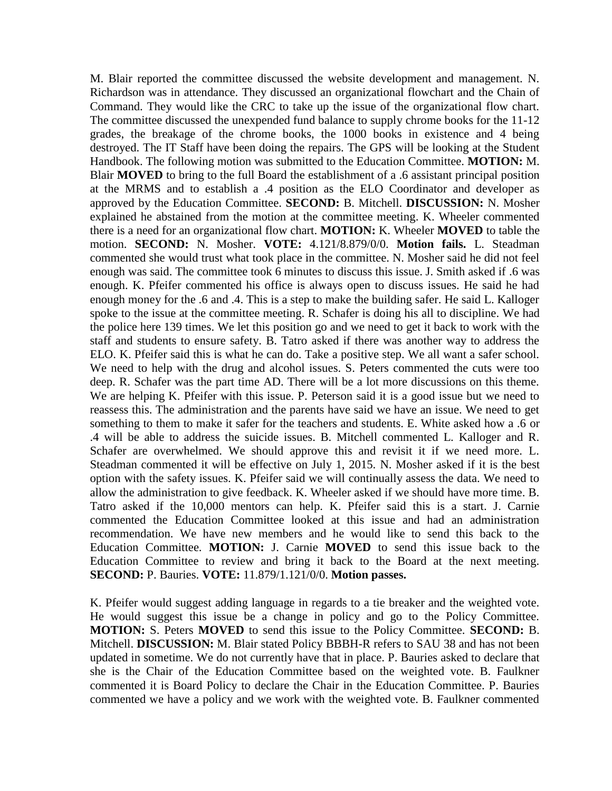M. Blair reported the committee discussed the website development and management. N. Richardson was in attendance. They discussed an organizational flowchart and the Chain of Command. They would like the CRC to take up the issue of the organizational flow chart. The committee discussed the unexpended fund balance to supply chrome books for the 11-12 grades, the breakage of the chrome books, the 1000 books in existence and 4 being destroyed. The IT Staff have been doing the repairs. The GPS will be looking at the Student Handbook. The following motion was submitted to the Education Committee. **MOTION:** M. Blair **MOVED** to bring to the full Board the establishment of a .6 assistant principal position at the MRMS and to establish a .4 position as the ELO Coordinator and developer as approved by the Education Committee. **SECOND:** B. Mitchell. **DISCUSSION:** N. Mosher explained he abstained from the motion at the committee meeting. K. Wheeler commented there is a need for an organizational flow chart. **MOTION:** K. Wheeler **MOVED** to table the motion. **SECOND:** N. Mosher. **VOTE:** 4.121/8.879/0/0. **Motion fails.** L. Steadman commented she would trust what took place in the committee. N. Mosher said he did not feel enough was said. The committee took 6 minutes to discuss this issue. J. Smith asked if .6 was enough. K. Pfeifer commented his office is always open to discuss issues. He said he had enough money for the .6 and .4. This is a step to make the building safer. He said L. Kalloger spoke to the issue at the committee meeting. R. Schafer is doing his all to discipline. We had the police here 139 times. We let this position go and we need to get it back to work with the staff and students to ensure safety. B. Tatro asked if there was another way to address the ELO. K. Pfeifer said this is what he can do. Take a positive step. We all want a safer school. We need to help with the drug and alcohol issues. S. Peters commented the cuts were too deep. R. Schafer was the part time AD. There will be a lot more discussions on this theme. We are helping K. Pfeifer with this issue. P. Peterson said it is a good issue but we need to reassess this. The administration and the parents have said we have an issue. We need to get something to them to make it safer for the teachers and students. E. White asked how a .6 or .4 will be able to address the suicide issues. B. Mitchell commented L. Kalloger and R. Schafer are overwhelmed. We should approve this and revisit it if we need more. L. Steadman commented it will be effective on July 1, 2015. N. Mosher asked if it is the best option with the safety issues. K. Pfeifer said we will continually assess the data. We need to allow the administration to give feedback. K. Wheeler asked if we should have more time. B. Tatro asked if the 10,000 mentors can help. K. Pfeifer said this is a start. J. Carnie commented the Education Committee looked at this issue and had an administration recommendation. We have new members and he would like to send this back to the Education Committee. **MOTION:** J. Carnie **MOVED** to send this issue back to the Education Committee to review and bring it back to the Board at the next meeting. **SECOND:** P. Bauries. **VOTE:** 11.879/1.121/0/0. **Motion passes.** 

K. Pfeifer would suggest adding language in regards to a tie breaker and the weighted vote. He would suggest this issue be a change in policy and go to the Policy Committee. **MOTION:** S. Peters **MOVED** to send this issue to the Policy Committee. **SECOND:** B. Mitchell. **DISCUSSION:** M. Blair stated Policy BBBH-R refers to SAU 38 and has not been updated in sometime. We do not currently have that in place. P. Bauries asked to declare that she is the Chair of the Education Committee based on the weighted vote. B. Faulkner commented it is Board Policy to declare the Chair in the Education Committee. P. Bauries commented we have a policy and we work with the weighted vote. B. Faulkner commented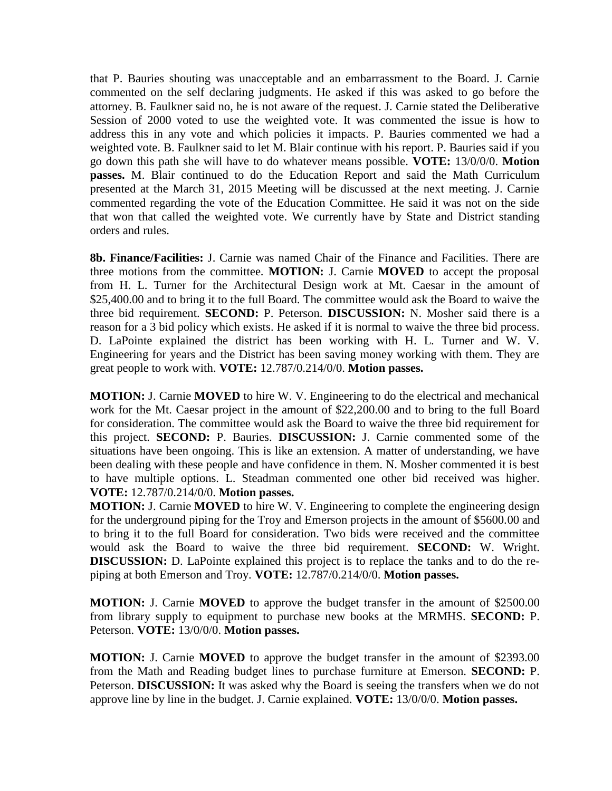that P. Bauries shouting was unacceptable and an embarrassment to the Board. J. Carnie commented on the self declaring judgments. He asked if this was asked to go before the attorney. B. Faulkner said no, he is not aware of the request. J. Carnie stated the Deliberative Session of 2000 voted to use the weighted vote. It was commented the issue is how to address this in any vote and which policies it impacts. P. Bauries commented we had a weighted vote. B. Faulkner said to let M. Blair continue with his report. P. Bauries said if you go down this path she will have to do whatever means possible. **VOTE:** 13/0/0/0. **Motion passes.** M. Blair continued to do the Education Report and said the Math Curriculum presented at the March 31, 2015 Meeting will be discussed at the next meeting. J. Carnie commented regarding the vote of the Education Committee. He said it was not on the side that won that called the weighted vote. We currently have by State and District standing orders and rules.

 **8b. Finance/Facilities:** J. Carnie was named Chair of the Finance and Facilities. There are three motions from the committee. **MOTION:** J. Carnie **MOVED** to accept the proposal from H. L. Turner for the Architectural Design work at Mt. Caesar in the amount of \$25,400.00 and to bring it to the full Board. The committee would ask the Board to waive the three bid requirement. **SECOND:** P. Peterson. **DISCUSSION:** N. Mosher said there is a reason for a 3 bid policy which exists. He asked if it is normal to waive the three bid process. D. LaPointe explained the district has been working with H. L. Turner and W. V. Engineering for years and the District has been saving money working with them. They are great people to work with. **VOTE:** 12.787/0.214/0/0. **Motion passes.** 

**MOTION:** J. Carnie **MOVED** to hire W. V. Engineering to do the electrical and mechanical work for the Mt. Caesar project in the amount of \$22,200.00 and to bring to the full Board for consideration. The committee would ask the Board to waive the three bid requirement for this project. **SECOND:** P. Bauries. **DISCUSSION:** J. Carnie commented some of the situations have been ongoing. This is like an extension. A matter of understanding, we have been dealing with these people and have confidence in them. N. Mosher commented it is best to have multiple options. L. Steadman commented one other bid received was higher. **VOTE:** 12.787/0.214/0/0. **Motion passes.**

**MOTION:** J. Carnie **MOVED** to hire W. V. Engineering to complete the engineering design for the underground piping for the Troy and Emerson projects in the amount of \$5600.00 and to bring it to the full Board for consideration. Two bids were received and the committee would ask the Board to waive the three bid requirement. **SECOND:** W. Wright. **DISCUSSION:** D. LaPointe explained this project is to replace the tanks and to do the repiping at both Emerson and Troy. **VOTE:** 12.787/0.214/0/0. **Motion passes.** 

**MOTION:** J. Carnie **MOVED** to approve the budget transfer in the amount of \$2500.00 from library supply to equipment to purchase new books at the MRMHS. **SECOND:** P. Peterson. **VOTE:** 13/0/0/0. **Motion passes.** 

**MOTION:** J. Carnie **MOVED** to approve the budget transfer in the amount of \$2393.00 from the Math and Reading budget lines to purchase furniture at Emerson. **SECOND:** P. Peterson. **DISCUSSION:** It was asked why the Board is seeing the transfers when we do not approve line by line in the budget. J. Carnie explained. **VOTE:** 13/0/0/0. **Motion passes.**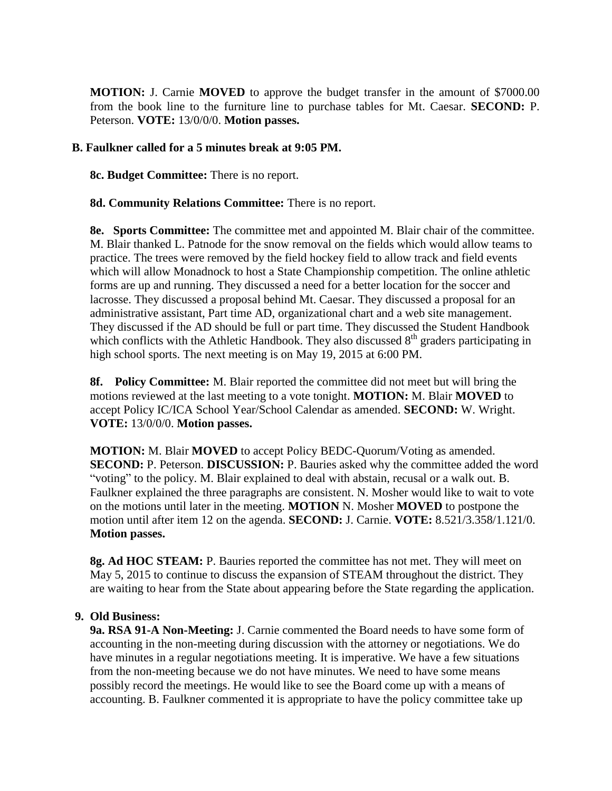**MOTION:** J. Carnie **MOVED** to approve the budget transfer in the amount of \$7000.00 from the book line to the furniture line to purchase tables for Mt. Caesar. **SECOND:** P. Peterson. **VOTE:** 13/0/0/0. **Motion passes.** 

### **B. Faulkner called for a 5 minutes break at 9:05 PM.**

 **8c. Budget Committee:** There is no report.

**8d. Community Relations Committee:** There is no report.

 **8e. Sports Committee:** The committee met and appointed M. Blair chair of the committee. M. Blair thanked L. Patnode for the snow removal on the fields which would allow teams to practice. The trees were removed by the field hockey field to allow track and field events which will allow Monadnock to host a State Championship competition. The online athletic forms are up and running. They discussed a need for a better location for the soccer and lacrosse. They discussed a proposal behind Mt. Caesar. They discussed a proposal for an administrative assistant, Part time AD, organizational chart and a web site management. They discussed if the AD should be full or part time. They discussed the Student Handbook which conflicts with the Athletic Handbook. They also discussed  $8<sup>th</sup>$  graders participating in high school sports. The next meeting is on May 19, 2015 at 6:00 PM.

**8f. Policy Committee:** M. Blair reported the committee did not meet but will bring the motions reviewed at the last meeting to a vote tonight. **MOTION:** M. Blair **MOVED** to accept Policy IC/ICA School Year/School Calendar as amended. **SECOND:** W. Wright. **VOTE:** 13/0/0/0. **Motion passes.** 

**MOTION:** M. Blair **MOVED** to accept Policy BEDC-Quorum/Voting as amended. **SECOND:** P. Peterson. **DISCUSSION:** P. Bauries asked why the committee added the word "voting" to the policy. M. Blair explained to deal with abstain, recusal or a walk out. B. Faulkner explained the three paragraphs are consistent. N. Mosher would like to wait to vote on the motions until later in the meeting. **MOTION** N. Mosher **MOVED** to postpone the motion until after item 12 on the agenda. **SECOND:** J. Carnie. **VOTE:** 8.521/3.358/1.121/0. **Motion passes.** 

**8g. Ad HOC STEAM:** P. Bauries reported the committee has not met. They will meet on May 5, 2015 to continue to discuss the expansion of STEAM throughout the district. They are waiting to hear from the State about appearing before the State regarding the application.

#### **9. Old Business:**

 **9a. RSA 91-A Non-Meeting:** J. Carnie commented the Board needs to have some form of accounting in the non-meeting during discussion with the attorney or negotiations. We do have minutes in a regular negotiations meeting. It is imperative. We have a few situations from the non-meeting because we do not have minutes. We need to have some means possibly record the meetings. He would like to see the Board come up with a means of accounting. B. Faulkner commented it is appropriate to have the policy committee take up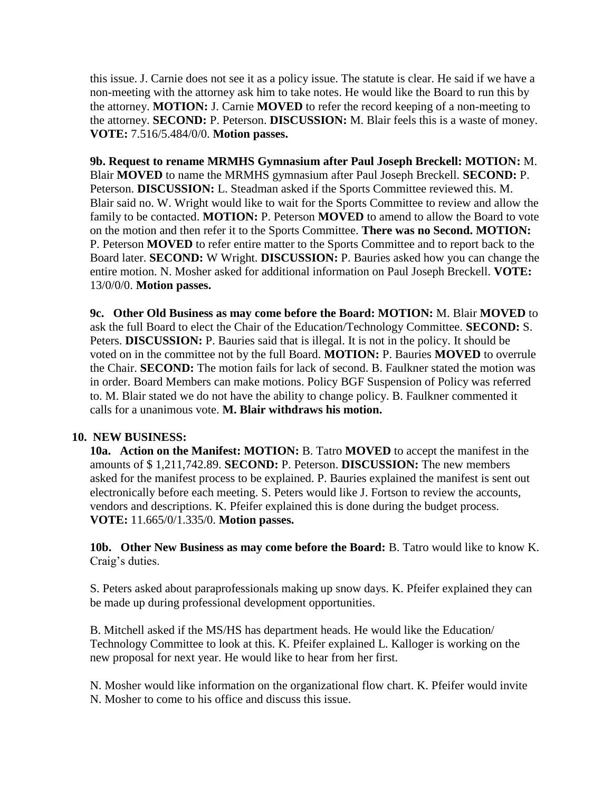this issue. J. Carnie does not see it as a policy issue. The statute is clear. He said if we have a non-meeting with the attorney ask him to take notes. He would like the Board to run this by the attorney. **MOTION:** J. Carnie **MOVED** to refer the record keeping of a non-meeting to the attorney. **SECOND:** P. Peterson. **DISCUSSION:** M. Blair feels this is a waste of money. **VOTE:** 7.516/5.484/0/0. **Motion passes.** 

**9b. Request to rename MRMHS Gymnasium after Paul Joseph Breckell: MOTION:** M. Blair **MOVED** to name the MRMHS gymnasium after Paul Joseph Breckell. **SECOND:** P. Peterson. **DISCUSSION:** L. Steadman asked if the Sports Committee reviewed this. M. Blair said no. W. Wright would like to wait for the Sports Committee to review and allow the family to be contacted. **MOTION:** P. Peterson **MOVED** to amend to allow the Board to vote on the motion and then refer it to the Sports Committee. **There was no Second. MOTION:**  P. Peterson **MOVED** to refer entire matter to the Sports Committee and to report back to the Board later. **SECOND:** W Wright. **DISCUSSION:** P. Bauries asked how you can change the entire motion. N. Mosher asked for additional information on Paul Joseph Breckell. **VOTE:**  13/0/0/0. **Motion passes.** 

**9c. Other Old Business as may come before the Board: MOTION:** M. Blair **MOVED** to ask the full Board to elect the Chair of the Education/Technology Committee. **SECOND:** S. Peters. **DISCUSSION:** P. Bauries said that is illegal. It is not in the policy. It should be voted on in the committee not by the full Board. **MOTION:** P. Bauries **MOVED** to overrule the Chair. **SECOND:** The motion fails for lack of second. B. Faulkner stated the motion was in order. Board Members can make motions. Policy BGF Suspension of Policy was referred to. M. Blair stated we do not have the ability to change policy. B. Faulkner commented it calls for a unanimous vote. **M. Blair withdraws his motion.** 

## **10. NEW BUSINESS:**

**10a. Action on the Manifest: MOTION:** B. Tatro **MOVED** to accept the manifest in the amounts of \$ 1,211,742.89. **SECOND:** P. Peterson. **DISCUSSION:** The new members asked for the manifest process to be explained. P. Bauries explained the manifest is sent out electronically before each meeting. S. Peters would like J. Fortson to review the accounts, vendors and descriptions. K. Pfeifer explained this is done during the budget process. **VOTE:** 11.665/0/1.335/0. **Motion passes.**

**10b. Other New Business as may come before the Board:** B. Tatro would like to know K. Craig's duties.

S. Peters asked about paraprofessionals making up snow days. K. Pfeifer explained they can be made up during professional development opportunities.

B. Mitchell asked if the MS/HS has department heads. He would like the Education/ Technology Committee to look at this. K. Pfeifer explained L. Kalloger is working on the new proposal for next year. He would like to hear from her first.

N. Mosher would like information on the organizational flow chart. K. Pfeifer would invite N. Mosher to come to his office and discuss this issue.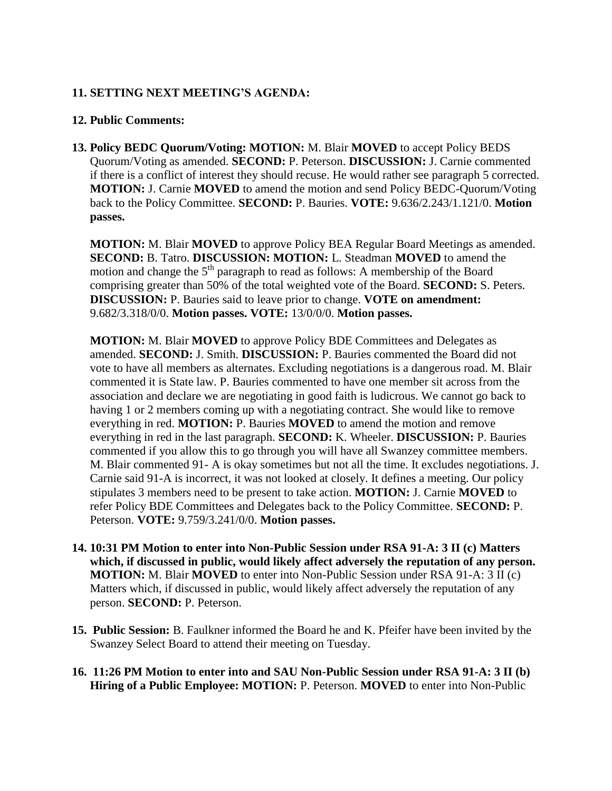# **11. SETTING NEXT MEETING'S AGENDA:**

## **12. Public Comments:**

**13. Policy BEDC Quorum/Voting: MOTION:** M. Blair **MOVED** to accept Policy BEDS Quorum/Voting as amended. **SECOND:** P. Peterson. **DISCUSSION:** J. Carnie commented if there is a conflict of interest they should recuse. He would rather see paragraph 5 corrected. **MOTION:** J. Carnie **MOVED** to amend the motion and send Policy BEDC-Quorum/Voting back to the Policy Committee. **SECOND:** P. Bauries. **VOTE:** 9.636/2.243/1.121/0. **Motion passes.** 

**MOTION:** M. Blair **MOVED** to approve Policy BEA Regular Board Meetings as amended. **SECOND:** B. Tatro. **DISCUSSION: MOTION:** L. Steadman **MOVED** to amend the motion and change the  $5<sup>th</sup>$  paragraph to read as follows: A membership of the Board comprising greater than 50% of the total weighted vote of the Board. **SECOND:** S. Peters. **DISCUSSION:** P. Bauries said to leave prior to change. **VOTE on amendment:**  9.682/3.318/0/0. **Motion passes. VOTE:** 13/0/0/0. **Motion passes.** 

**MOTION:** M. Blair **MOVED** to approve Policy BDE Committees and Delegates as amended. **SECOND:** J. Smith. **DISCUSSION:** P. Bauries commented the Board did not vote to have all members as alternates. Excluding negotiations is a dangerous road. M. Blair commented it is State law. P. Bauries commented to have one member sit across from the association and declare we are negotiating in good faith is ludicrous. We cannot go back to having 1 or 2 members coming up with a negotiating contract. She would like to remove everything in red. **MOTION:** P. Bauries **MOVED** to amend the motion and remove everything in red in the last paragraph. **SECOND:** K. Wheeler. **DISCUSSION:** P. Bauries commented if you allow this to go through you will have all Swanzey committee members. M. Blair commented 91- A is okay sometimes but not all the time. It excludes negotiations. J. Carnie said 91-A is incorrect, it was not looked at closely. It defines a meeting. Our policy stipulates 3 members need to be present to take action. **MOTION:** J. Carnie **MOVED** to refer Policy BDE Committees and Delegates back to the Policy Committee. **SECOND:** P. Peterson. **VOTE:** 9.759/3.241/0/0. **Motion passes.** 

- **14. 10:31 PM Motion to enter into Non-Public Session under RSA 91-A: 3 II (c) Matters which, if discussed in public, would likely affect adversely the reputation of any person. MOTION:** M. Blair **MOVED** to enter into Non-Public Session under RSA 91-A: 3 II (c) Matters which, if discussed in public, would likely affect adversely the reputation of any person. **SECOND:** P. Peterson.
- **15. Public Session:** B. Faulkner informed the Board he and K. Pfeifer have been invited by the Swanzey Select Board to attend their meeting on Tuesday.
- **16. 11:26 PM Motion to enter into and SAU Non-Public Session under RSA 91-A: 3 II (b) Hiring of a Public Employee: MOTION:** P. Peterson. **MOVED** to enter into Non-Public